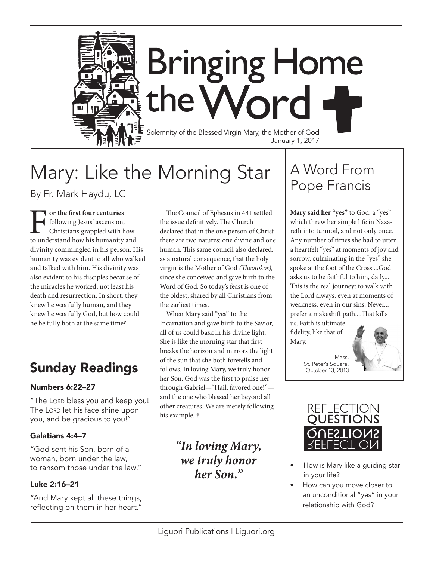

# Mary: Like the Morning Star

By Fr. Mark Haydu, LC

**Following Jesus' ascension,**<br> **the following Jesus' ascension,**<br>
to understand how his humanity and following Jesus' ascension, Christians grappled with how divinity commingled in his person. His humanity was evident to all who walked and talked with him. His divinity was also evident to his disciples because of the miracles he worked, not least his death and resurrection. In short, they knew he was fully human, and they knew he was fully God, but how could he be fully both at the same time?

## Sunday Readings

### Numbers 6:22–27

"The Lord bless you and keep you! The LORD let his face shine upon you, and be gracious to you!"

### Galatians 4:4–7

"God sent his Son, born of a woman, born under the law, to ransom those under the law."

### Luke 2:16–21

"And Mary kept all these things, reflecting on them in her heart."

The Council of Ephesus in 431 settled the issue definitively. The Church declared that in the one person of Christ there are two natures: one divine and one human. This same council also declared, as a natural consequence, that the holy virgin is the Mother of God *(Theotokos),*  since she conceived and gave birth to the Word of God. So today's feast is one of the oldest, shared by all Christians from the earliest times.

When Mary said "yes" to the Incarnation and gave birth to the Savior, all of us could bask in his divine light. She is like the morning star that first breaks the horizon and mirrors the light of the sun that she both foretells and follows. In loving Mary, we truly honor her Son. God was the first to praise her through Gabriel—"Hail, favored one!" and the one who blessed her beyond all other creatures. We are merely following his example. †

### *"In loving Mary, we truly honor her Son."*

## A Word From Pope Francis

**Mary said her "yes"** to God: a "yes" which threw her simple life in Nazareth into turmoil, and not only once. Any number of times she had to utter a heartfelt "yes" at moments of joy and sorrow, culminating in the "yes" she spoke at the foot of the Cross....God asks us to be faithful to him, daily.... This is the real journey: to walk with the Lord always, even at moments of weakness, even in our sins. Never... prefer a makeshift path....That kills

us. Faith is ultimate fidelity, like that of Mary.

> —Mass, St. Peter's Square, October 13, 2013





- How is Mary like a guiding star in your life?
- How can you move closer to an unconditional "yes" in your relationship with God?